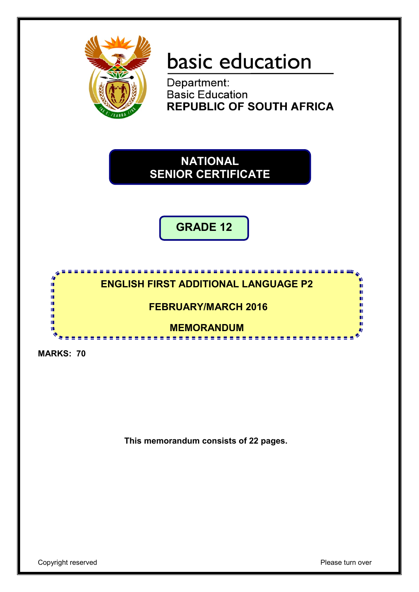

# basic education

Department:<br>Basic Education **REPUBLIC OF SOUTH AFRICA** 

**NATIONAL SENIOR CERTIFICATE**

**GRADE 12**



**FEBRUARY/MARCH 2016**

**MEMORANDUM**

**CONTRACTOR** 

**MARKS: 70**

IĖ, I. ú, ú T. T. т

**This memorandum consists of 22 pages.**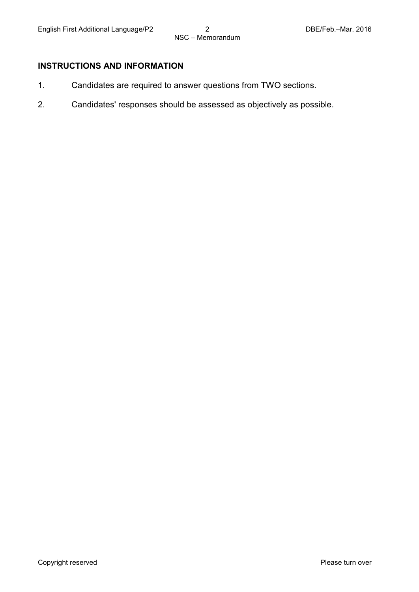#### **INSTRUCTIONS AND INFORMATION**

- 1. Candidates are required to answer questions from TWO sections.
- 2. Candidates' responses should be assessed as objectively as possible.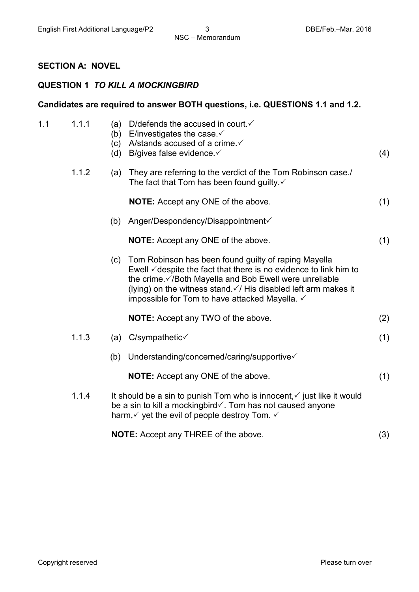#### **SECTION A: NOVEL**

#### **QUESTION 1** *TO KILL A MOCKINGBIRD*

#### **Candidates are required to answer BOTH questions, i.e. QUESTIONS 1.1 and 1.2.**

| 1.1 | 1.1.1 | (a)<br>(b)<br>(c)<br>(d) | D/defends the accused in court $\checkmark$<br>E/investigates the case $\checkmark$<br>A/stands accused of a crime. ✓<br>B/gives false evidence V                                                                                                                                                                               | (4) |
|-----|-------|--------------------------|---------------------------------------------------------------------------------------------------------------------------------------------------------------------------------------------------------------------------------------------------------------------------------------------------------------------------------|-----|
|     | 1.1.2 | (a)                      | They are referring to the verdict of the Tom Robinson case./<br>The fact that Tom has been found guilty. $\checkmark$                                                                                                                                                                                                           |     |
|     |       |                          | <b>NOTE:</b> Accept any ONE of the above.                                                                                                                                                                                                                                                                                       | (1) |
|     |       | (b)                      | Anger/Despondency/Disappointment√                                                                                                                                                                                                                                                                                               |     |
|     |       |                          | <b>NOTE:</b> Accept any ONE of the above.                                                                                                                                                                                                                                                                                       | (1) |
|     |       | (c)                      | Tom Robinson has been found guilty of raping Mayella<br>Ewell $\checkmark$ despite the fact that there is no evidence to link him to<br>the crime. ∕/Both Mayella and Bob Ewell were unreliable<br>(lying) on the witness stand $\checkmark$ / His disabled left arm makes it<br>impossible for Tom to have attacked Mayella. ✓ |     |
|     |       |                          | <b>NOTE:</b> Accept any TWO of the above.                                                                                                                                                                                                                                                                                       | (2) |
|     | 1.1.3 | (a)                      | $C$ /sympathetic $\checkmark$                                                                                                                                                                                                                                                                                                   | (1) |
|     |       | (b)                      | Understanding/concerned/caring/supportive                                                                                                                                                                                                                                                                                       |     |
|     |       |                          | <b>NOTE:</b> Accept any ONE of the above.                                                                                                                                                                                                                                                                                       | (1) |
|     | 1.1.4 |                          | It should be a sin to punish Tom who is innocent, $\checkmark$ just like it would<br>be a sin to kill a mockingbird√. Tom has not caused anyone<br>harm, $\checkmark$ yet the evil of people destroy Tom. $\checkmark$                                                                                                          |     |
|     |       |                          | <b>NOTE:</b> Accept any THREE of the above.                                                                                                                                                                                                                                                                                     | (3) |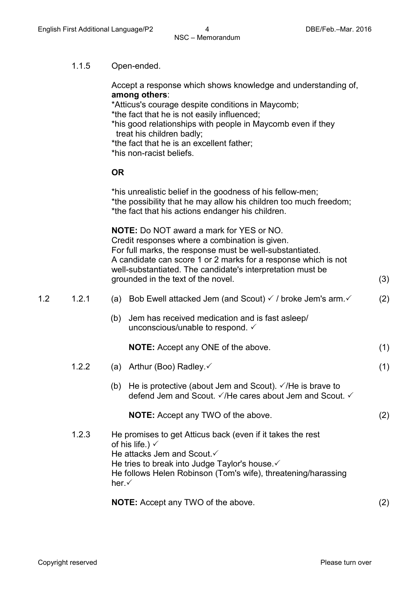#### 1.1.5 Open-ended.

Accept a response which shows knowledge and understanding of, **among others**:

\*Atticus's courage despite conditions in Maycomb;

\*the fact that he is not easily influenced;

\*his good relationships with people in Maycomb even if they treat his children badly;

- \*the fact that he is an excellent father;
- \*his non-racist beliefs.

#### **OR**

\*his unrealistic belief in the goodness of his fellow-men; \*the possibility that he may allow his children too much freedom; \*the fact that his actions endanger his children.

**NOTE:** Do NOT award a mark for YES or NO. Credit responses where a combination is given. For full marks, the response must be well-substantiated. A candidate can score 1 or 2 marks for a response which is not well-substantiated. The candidate's interpretation must be grounded in the text of the novel. (3)

- 1.2 1.2.1 (a) Bob Ewell attacked Jem (and Scout)  $\checkmark$  / broke Jem's arm. (2)
	- (b) Jem has received medication and is fast asleep/ unconscious/unable to respond.  $\checkmark$

**NOTE:** Accept any ONE of the above. (1)

- 1.2.2 (a) Arthur (Boo) Radley.  $\checkmark$  (1)
	- (b) He is protective (about Jem and Scout).  $\sqrt{}$  /He is brave to defend Jem and Scout.  $\checkmark$  /He cares about Jem and Scout.  $\checkmark$

**NOTE:** Accept any TWO of the above. (2)

1.2.3 He promises to get Atticus back (even if it takes the rest of his life.)  $\checkmark$ He attacks Jem and Scout. ✓ He tries to break into Judge Taylor's house. ✓ He follows Helen Robinson (Tom's wife), threatening/harassing her.

**NOTE:** Accept any TWO of the above. (2)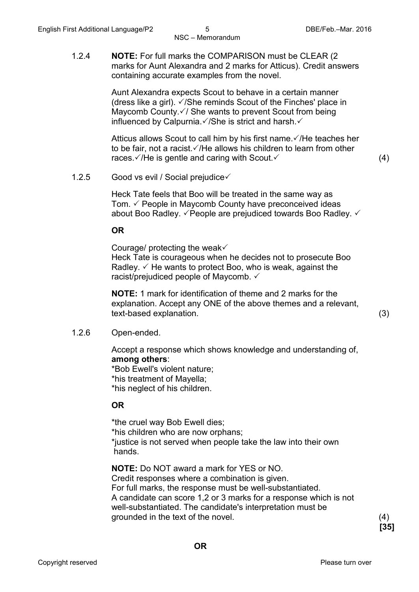1.2.4 **NOTE:** For full marks the COMPARISON must be CLEAR (2 marks for Aunt Alexandra and 2 marks for Atticus). Credit answers containing accurate examples from the novel.

> Aunt Alexandra expects Scout to behave in a certain manner (dress like a girl).  $\sqrt{}$ /She reminds Scout of the Finches' place in Maycomb County. $\sqrt{ }$  She wants to prevent Scout from being influenced by Calpurnia. $\sqrt{}$ /She is strict and harsh. $\sqrt{}$

Atticus allows Scout to call him by his first name.  $\sqrt{R}$  He teaches her to be fair, not a racist.  $\sqrt{H}$ e allows his children to learn from other races.  $\sqrt{H}$  is gentle and caring with Scout.  $\sqrt{H}$  (4)

1.2.5 Good vs evil / Social prejudice

Heck Tate feels that Boo will be treated in the same way as Tom.  $\checkmark$  People in Maycomb County have preconceived ideas about Boo Radley.  $\checkmark$  People are prejudiced towards Boo Radley.  $\checkmark$ 

#### **OR**

Courage/ protecting the weak $\checkmark$ 

Heck Tate is courageous when he decides not to prosecute Boo Radley.  $\checkmark$  He wants to protect Boo, who is weak, against the racist/prejudiced people of Maycomb.  $\checkmark$ 

**NOTE:** 1 mark for identification of theme and 2 marks for the explanation. Accept any ONE of the above themes and a relevant, text-based explanation. (3)

1.2.6 Open-ended.

Accept a response which shows knowledge and understanding of, **among others**:

\*Bob Ewell's violent nature; \*his treatment of Mayella; \*his neglect of his children.

#### **OR**

\*the cruel way Bob Ewell dies; \*his children who are now orphans; \*justice is not served when people take the law into their own hands.

**NOTE:** Do NOT award a mark for YES or NO. Credit responses where a combination is given. For full marks, the response must be well-substantiated. A candidate can score 1,2 or 3 marks for a response which is not well-substantiated. The candidate's interpretation must be grounded in the text of the novel. (4)

**[35]**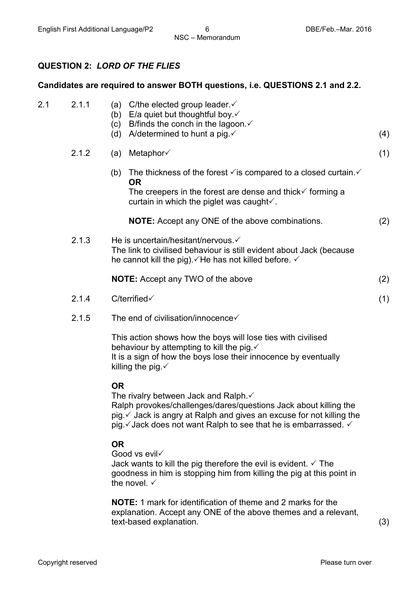#### **QUESTION 2:** *LORD OF THE FLIES*

#### **Candidates are required to answer BOTH questions, i.e. QUESTIONS 2.1 and 2.2.**

| 2.1 | 2.1.1 | C/the elected group leader. $\checkmark$<br>(a)<br>(b) E/a quiet but thoughtful boy. $\checkmark$<br>B/finds the conch in the lagoon. $\checkmark$<br>(c)<br>(d) A/determined to hunt a pig. $\checkmark$                                                         | (4) |
|-----|-------|-------------------------------------------------------------------------------------------------------------------------------------------------------------------------------------------------------------------------------------------------------------------|-----|
|     | 2.1.2 | (a) Metaphor $\checkmark$                                                                                                                                                                                                                                         | (1) |
|     |       | (b) The thickness of the forest $\checkmark$ is compared to a closed curtain. $\checkmark$<br><b>OR</b><br>The creepers in the forest are dense and thick $\checkmark$ forming a<br>curtain in which the piglet was caught $\checkmark$ .                         |     |
|     |       | <b>NOTE:</b> Accept any ONE of the above combinations.                                                                                                                                                                                                            | (2) |
|     | 2.1.3 | He is uncertain/hesitant/nervous.<br>The link to civilised behaviour is still evident about Jack (because<br>he cannot kill the pig). ∕He has not killed before. √                                                                                                |     |
|     |       | <b>NOTE:</b> Accept any TWO of the above                                                                                                                                                                                                                          | (2) |
|     | 2.1.4 | $C$ /terrified $\checkmark$                                                                                                                                                                                                                                       | (1) |
|     | 2.1.5 | The end of civilisation/innocence√                                                                                                                                                                                                                                |     |
|     |       | This action shows how the boys will lose ties with civilised<br>behaviour by attempting to kill the pig. ✓<br>It is a sign of how the boys lose their innocence by eventually<br>killing the pig. $\checkmark$                                                    |     |
|     |       | <b>OR</b><br>The rivalry between Jack and Ralph.√<br>Ralph provokes/challenges/dares/questions Jack about killing the<br>pig √ Jack is angry at Ralph and gives an excuse for not killing the<br>pig. V Jack does not want Ralph to see that he is embarrassed. V |     |
|     |       | <b>OR</b><br>Good vs evil<br>Jack wants to kill the pig therefore the evil is evident $\checkmark$ The                                                                                                                                                            |     |

Jack wants to kill the pig therefore the evil is evident.  $\checkmark$  The goodness in him is stopping him from killing the pig at this point in the novel.  $\checkmark$ 

**NOTE:** 1 mark for identification of theme and 2 marks for the explanation. Accept any ONE of the above themes and a relevant, text-based explanation. (3)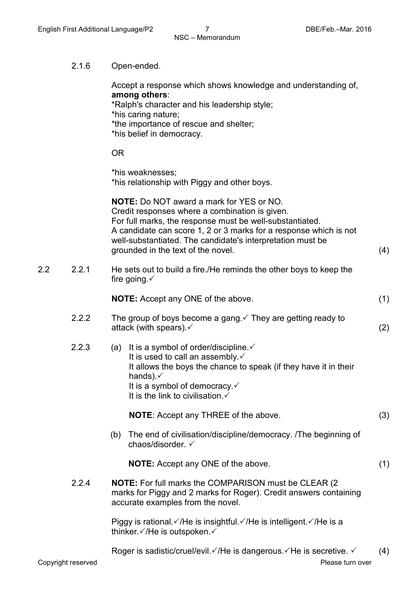2.1.6 Open-ended.

Accept a response which shows knowledge and understanding of, **among others**: \*Ralph's character and his leadership style; \*his caring nature; \*the importance of rescue and shelter; \*his belief in democracy.

#### OR

\*his weaknesses; \*his relationship with Piggy and other boys.

**NOTE:** Do NOT award a mark for YES or NO. Credit responses where a combination is given. For full marks, the response must be well-substantiated. A candidate can score 1, 2 or 3 marks for a response which is not well-substantiated. The candidate's interpretation must be grounded in the text of the novel. (4)

2.2 2.2.1 He sets out to build a fire./He reminds the other boys to keep the fire going.  $\checkmark$ 

**NOTE:** Accept any ONE of the above. (1)

- 2.2.2 The group of boys become a gang.  $\checkmark$  They are getting ready to attack (with spears).  $\checkmark$  (2)
- 2.2.3 (a) It is a symbol of order/discipline. $\checkmark$ It is used to call an assembly. $\checkmark$ It allows the boys the chance to speak (if they have it in their hands). $\checkmark$ It is a symbol of democracy. $\checkmark$ It is the link to civilisation. $\checkmark$

**NOTE**: Accept any THREE of the above. (3)

(b) The end of civilisation/discipline/democracy. /The beginning of chaos/disorder.

**NOTE:** Accept any ONE of the above. (1)

2.2.4 **NOTE:** For full marks the COMPARISON must be CLEAR (2 marks for Piggy and 2 marks for Roger). Credit answers containing accurate examples from the novel.

> Piggy is rational.  $\sqrt{}$  /He is insightful.  $\sqrt{}$  /He is intelligent.  $\sqrt{}$  /He is a thinker. $\checkmark$ /He is outspoken. $\checkmark$

Roger is sadistic/cruel/evil.  $\sqrt{H}$ e is dangerous.  $\sqrt{H}$ e is secretive.  $\sqrt{H}$  (4)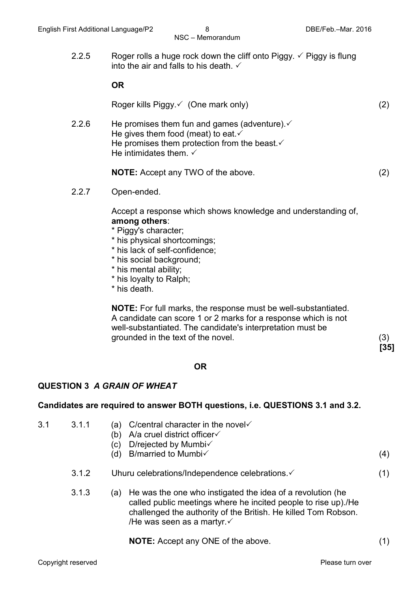2.2.5 Roger rolls a huge rock down the cliff onto Piggy.  $\checkmark$  Piggy is flung into the air and falls to his death.  $\checkmark$ 

#### **OR**

Roger kills Piggy.  $\checkmark$  (One mark only) (2)

2.2.6 He promises them fun and games (adventure).  $\checkmark$ He gives them food (meat) to eat. $\checkmark$ He promises them protection from the beast. $\checkmark$ He intimidates them.  $\checkmark$ 

**NOTE:** Accept any TWO of the above. (2)

2.2.7 Open-ended.

Accept a response which shows knowledge and understanding of, **among others**:

- \* Piggy's character;
- \* his physical shortcomings;
- \* his lack of self-confidence;
- \* his social background;
- \* his mental ability;
- \* his loyalty to Ralph;
- \* his death.

**NOTE:** For full marks, the response must be well-substantiated. A candidate can score 1 or 2 marks for a response which is not well-substantiated. The candidate's interpretation must be grounded in the text of the novel. (3)

**[35]**

#### **OR**

#### **QUESTION 3** *A GRAIN OF WHEAT*

#### **Candidates are required to answer BOTH questions, i.e. QUESTIONS 3.1 and 3.2.**

- 3.1 3.1.1 (b) A/a cruel district officer (c) D/rejected by Mumbi (d) B/married to Mumbi $\checkmark$  (4) (a) C/central character in the novel  $\checkmark$ 3.1.2 Uhuru celebrations/Independence celebrations. (1) 3.1.3 (a) He was the one who instigated the idea of a revolution (he
	- called public meetings where he incited people to rise up)./He challenged the authority of the British. He killed Tom Robson. /He was seen as a martyr. $\checkmark$

**NOTE:** Accept any ONE of the above. (1)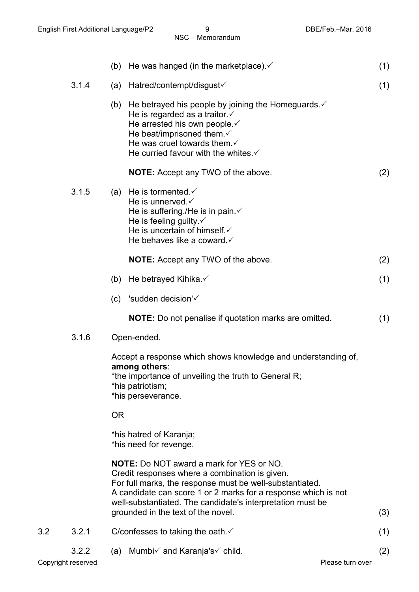|                    |       | (b)       | He was hanged (in the marketplace). $\checkmark$                                                                                                                                                                                                                                              | (1) |
|--------------------|-------|-----------|-----------------------------------------------------------------------------------------------------------------------------------------------------------------------------------------------------------------------------------------------------------------------------------------------|-----|
|                    | 3.1.4 | (a)       | Hatred/contempt/disgust√                                                                                                                                                                                                                                                                      | (1) |
|                    |       |           | (b) He betrayed his people by joining the Homeguards. $\checkmark$<br>He is regarded as a traitor $\checkmark$<br>He arrested his own people. ✓<br>He beat/imprisoned them $\checkmark$<br>He was cruel towards them. $\checkmark$<br>He curried favour with the whites $\checkmark$          |     |
|                    |       |           | <b>NOTE:</b> Accept any TWO of the above.                                                                                                                                                                                                                                                     | (2) |
|                    | 3.1.5 |           | (a) He is tormented. $\checkmark$<br>He is unnerved. $\checkmark$<br>He is suffering./He is in pain. ✓<br>He is feeling guilty $\checkmark$<br>He is uncertain of himself. ✓<br>He behaves like a coward.                                                                                     |     |
|                    |       |           | <b>NOTE:</b> Accept any TWO of the above.                                                                                                                                                                                                                                                     | (2) |
|                    |       | (b)       | He betrayed Kihika. $\checkmark$                                                                                                                                                                                                                                                              | (1) |
|                    |       | (c)       | 'sudden decision' $\checkmark$                                                                                                                                                                                                                                                                |     |
|                    |       |           | <b>NOTE:</b> Do not penalise if quotation marks are omitted.                                                                                                                                                                                                                                  | (1) |
|                    | 3.1.6 |           | Open-ended.                                                                                                                                                                                                                                                                                   |     |
|                    |       |           | Accept a response which shows knowledge and understanding of,<br>among others:<br>*the importance of unveiling the truth to General R;<br>*his patriotism;<br>*his perseverance.                                                                                                              |     |
|                    |       | <b>OR</b> |                                                                                                                                                                                                                                                                                               |     |
|                    |       |           | *his hatred of Karanja;<br>*his need for revenge.                                                                                                                                                                                                                                             |     |
|                    |       |           | <b>NOTE:</b> Do NOT award a mark for YES or NO.<br>Credit responses where a combination is given.<br>For full marks, the response must be well-substantiated.<br>A candidate can score 1 or 2 marks for a response which is not<br>well-substantiated. The candidate's interpretation must be |     |
| 3.2                | 3.2.1 |           | grounded in the text of the novel.<br>C/confesses to taking the oath $\checkmark$                                                                                                                                                                                                             | (3) |
|                    | 3.2.2 |           |                                                                                                                                                                                                                                                                                               | (1) |
| Copyright reserved |       | (a)       | Mumbi√ and Karanja's√ child.<br>Please turn over                                                                                                                                                                                                                                              | (2) |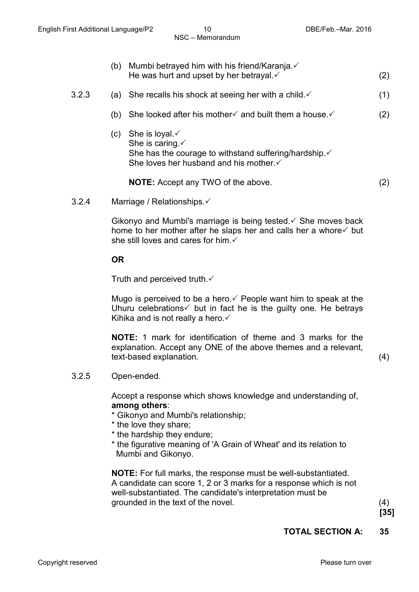- (b) Mumbi betrayed him with his friend/Karanja. $\checkmark$ He was hurt and upset by her betrayal.  $\checkmark$  (2)
- 3.2.3 (a) She recalls his shock at seeing her with a child.  $\checkmark$  (1)
	- (b) She looked after his mother and built them a house.  $(2)$
	- (c) She is loyal. $\checkmark$ She is caring. ✓ She has the courage to withstand suffering/hardship. $\checkmark$ She loves her husband and his mother. ✓

**NOTE:** Accept any TWO of the above. (2)

3.2.4 Marriage / Relationships.

Gikonyo and Mumbi's marriage is being tested.  $\checkmark$  She moves back home to her mother after he slaps her and calls her a whore  $\checkmark$  but she still loves and cares for him.

**OR**

Truth and perceived truth. $\checkmark$ 

Mugo is perceived to be a hero.  $\checkmark$  People want him to speak at the Uhuru celebrations  $\checkmark$  but in fact he is the guilty one. He betrays Kihika and is not really a hero.  $\checkmark$ 

**NOTE:** 1 mark for identification of theme and 3 marks for the explanation. Accept any ONE of the above themes and a relevant, text-based explanation. (4)

3.2.5 Open-ended.

Accept a response which shows knowledge and understanding of, **among others**:

\* Gikonyo and Mumbi's relationship;

- \* the love they share;
- \* the hardship they endure;
- \* the figurative meaning of 'A Grain of Wheat' and its relation to Mumbi and Gikonyo.

**NOTE:** For full marks, the response must be well-substantiated. A candidate can score 1, 2 or 3 marks for a response which is not well-substantiated. The candidate's interpretation must be grounded in the text of the novel. (4)

**[35]**

#### **TOTAL SECTION A: 35**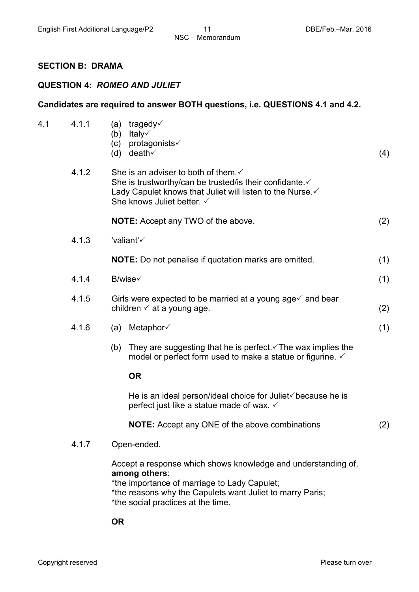#### **SECTION B: DRAMA**

#### **QUESTION 4:** *ROMEO AND JULIET*

### **Candidates are required to answer BOTH questions, i.e. QUESTIONS 4.1 and 4.2.** 4.1 4.1.1 (b) Italy (c) protagonists (d) death $\checkmark$ (a) tragedy $\checkmark$  $\mathsf{death} \checkmark$  (4) 4.1.2 She is an adviser to both of them. $\checkmark$ She is trustworthy/can be trusted/is their confidante. ✓ Lady Capulet knows that Juliet will listen to the Nurse. ✓ She knows Juliet better.  $\checkmark$ **NOTE:** Accept any TWO of the above. (2) 4.1.3 'valiant' **NOTE:** Do not penalise if quotation marks are omitted. (1)  $4.1.4$  B/wise (1) 4.1.5 Girls were expected to be married at a young age  $\checkmark$  and bear children  $\checkmark$  at a young age. (2)  $4.1.6$  (a) Metaphor (1) (b) They are suggesting that he is perfect.  $\sqrt{T}$  he wax implies the model or perfect form used to make a statue or figurine.  $\checkmark$ **OR** He is an ideal person/ideal choice for Juliet $\checkmark$  because he is perfect just like a statue made of wax. **NOTE:** Accept any ONE of the above combinations (2) 4.1.7 Open-ended. Accept a response which shows knowledge and understanding of, **among others**: \*the importance of marriage to Lady Capulet; \*the reasons why the Capulets want Juliet to marry Paris; \*the social practices at the time.

**OR**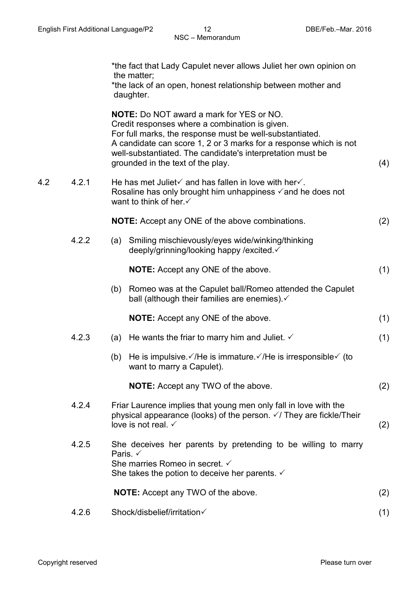|     |       | *the fact that Lady Capulet never allows Juliet her own opinion on<br>the matter;<br>*the lack of an open, honest relationship between mother and<br>daughter.                                                                                                                                                                        |     |
|-----|-------|---------------------------------------------------------------------------------------------------------------------------------------------------------------------------------------------------------------------------------------------------------------------------------------------------------------------------------------|-----|
|     |       | <b>NOTE:</b> Do NOT award a mark for YES or NO.<br>Credit responses where a combination is given.<br>For full marks, the response must be well-substantiated.<br>A candidate can score 1, 2 or 3 marks for a response which is not<br>well-substantiated. The candidate's interpretation must be<br>grounded in the text of the play. | (4) |
| 4.2 | 4.2.1 | He has met Juliet $\checkmark$ and has fallen in love with her $\checkmark$ .<br>Rosaline has only brought him unhappiness $\checkmark$ and he does not<br>want to think of her.                                                                                                                                                      |     |
|     |       | <b>NOTE:</b> Accept any ONE of the above combinations.                                                                                                                                                                                                                                                                                | (2) |
|     | 4.2.2 | (a) Smiling mischievously/eyes wide/winking/thinking<br>deeply/grinning/looking happy /excited. ✓                                                                                                                                                                                                                                     |     |
|     |       | <b>NOTE:</b> Accept any ONE of the above.                                                                                                                                                                                                                                                                                             | (1) |
|     |       | Romeo was at the Capulet ball/Romeo attended the Capulet<br>(b)<br>ball (although their families are enemies). $\checkmark$                                                                                                                                                                                                           |     |
|     |       | <b>NOTE:</b> Accept any ONE of the above.                                                                                                                                                                                                                                                                                             | (1) |
|     | 4.2.3 | He wants the friar to marry him and Juliet. $\checkmark$<br>(a)                                                                                                                                                                                                                                                                       | (1) |
|     |       | He is impulsive $\checkmark$ /He is immature $\checkmark$ /He is irresponsible $\checkmark$ (to<br>(b)<br>want to marry a Capulet).                                                                                                                                                                                                   |     |
|     |       | <b>NOTE:</b> Accept any TWO of the above.                                                                                                                                                                                                                                                                                             | (2) |
|     | 4.2.4 | Friar Laurence implies that young men only fall in love with the<br>physical appearance (looks) of the person. √/ They are fickle/Their<br>love is not real. $\checkmark$                                                                                                                                                             | (2) |
|     | 4.2.5 | She deceives her parents by pretending to be willing to marry<br>Paris. $\checkmark$<br>She marries Romeo in secret. ✓<br>She takes the potion to deceive her parents. $\checkmark$                                                                                                                                                   |     |
|     |       | <b>NOTE:</b> Accept any TWO of the above.                                                                                                                                                                                                                                                                                             | (2) |
|     | 4.2.6 | Shock/disbelief/irritation√                                                                                                                                                                                                                                                                                                           | (1) |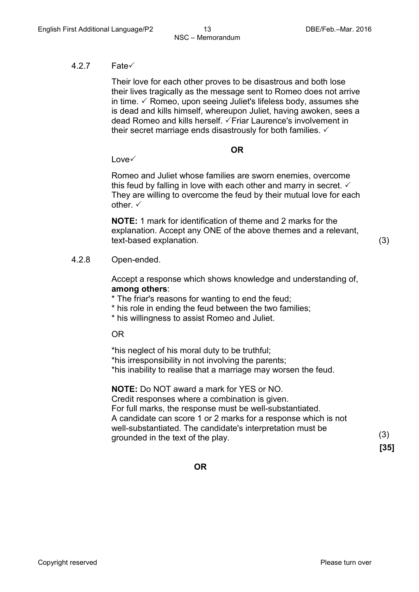#### $4.2.7$  Fate $\checkmark$

Their love for each other proves to be disastrous and both lose their lives tragically as the message sent to Romeo does not arrive in time.  $\checkmark$  Romeo, upon seeing Juliet's lifeless body, assumes she is dead and kills himself, whereupon Juliet, having awoken, sees a dead Romeo and kills herself.  $\sqrt{F}$ riar Laurence's involvement in their secret marriage ends disastrously for both families.  $\checkmark$ 

#### **OR**

 $Lowe\checkmark$ 

Romeo and Juliet whose families are sworn enemies, overcome this feud by falling in love with each other and marry in secret.  $\checkmark$ They are willing to overcome the feud by their mutual love for each other  $\checkmark$ 

**NOTE:** 1 mark for identification of theme and 2 marks for the explanation. Accept any ONE of the above themes and a relevant, text-based explanation. (3)

#### 4.2.8 Open-ended.

Accept a response which shows knowledge and understanding of, **among others**:

\* The friar's reasons for wanting to end the feud;

- \* his role in ending the feud between the two families;
- \* his willingness to assist Romeo and Juliet.

#### OR

\*his neglect of his moral duty to be truthful; \*his irresponsibility in not involving the parents; \*his inability to realise that a marriage may worsen the feud.

**NOTE:** Do NOT award a mark for YES or NO. Credit responses where a combination is given. For full marks, the response must be well-substantiated. A candidate can score 1 or 2 marks for a response which is not well-substantiated. The candidate's interpretation must be grounded in the text of the play. (3)

**[35]**

**OR**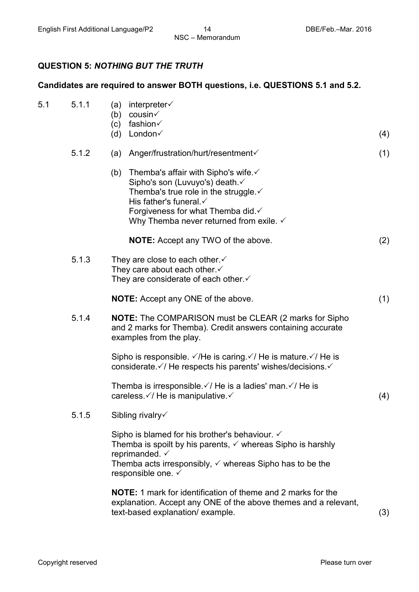#### **QUESTION 5:** *NOTHING BUT THE TRUTH*

#### **Candidates are required to answer BOTH questions, i.e. QUESTIONS 5.1 and 5.2.**

| 5.1 | 5.1.1 | interpreter√<br>(a)<br>cousin√<br>(b)<br>fashion√<br>(c)<br>London√<br>(d)                                                                                                                                                                                                     | (4) |
|-----|-------|--------------------------------------------------------------------------------------------------------------------------------------------------------------------------------------------------------------------------------------------------------------------------------|-----|
|     | 5.1.2 | Anger/frustration/hurt/resentment√<br>(a)                                                                                                                                                                                                                                      | (1) |
|     |       | Themba's affair with Sipho's wife. $\checkmark$<br>(b)<br>Sipho's son (Luvuyo's) death. ✓<br>Themba's true role in the struggle. $\checkmark$<br>His father's funeral. $\checkmark$<br>Forgiveness for what Themba did.√<br>Why Themba never returned from exile. $\checkmark$ |     |
|     |       | <b>NOTE:</b> Accept any TWO of the above.                                                                                                                                                                                                                                      | (2) |
|     | 5.1.3 | They are close to each other.<br>They care about each other.<br>They are considerate of each other $\checkmark$                                                                                                                                                                |     |
|     |       | <b>NOTE:</b> Accept any ONE of the above.                                                                                                                                                                                                                                      | (1) |
|     | 5.1.4 | NOTE: The COMPARISON must be CLEAR (2 marks for Sipho<br>and 2 marks for Themba). Credit answers containing accurate<br>examples from the play.                                                                                                                                |     |
|     |       | Sipho is responsible. $\sqrt{ }$ /He is caring. $\sqrt{ }$ /He is mature. $\sqrt{ }$ /He is<br>considerate $\sqrt{7}$ He respects his parents' wishes/decisions.                                                                                                               |     |
|     |       | Themba is irresponsible $\checkmark$ He is a ladies' man $\checkmark$ He is<br>careless. V/ He is manipulative. V                                                                                                                                                              | (4) |
|     | 5.1.5 | Sibling rivalry $\checkmark$                                                                                                                                                                                                                                                   |     |
|     |       | Sipho is blamed for his brother's behaviour. $\checkmark$<br>Themba is spoilt by his parents, $\checkmark$ whereas Sipho is harshly<br>reprimanded. $\checkmark$<br>Themba acts irresponsibly, $\checkmark$ whereas Sipho has to be the<br>responsible one. ✓                  |     |
|     |       | <b>NOTE:</b> 1 mark for identification of theme and 2 marks for the<br>explanation. Accept any ONE of the above themes and a relevant,<br>text-based explanation/example.                                                                                                      | (3) |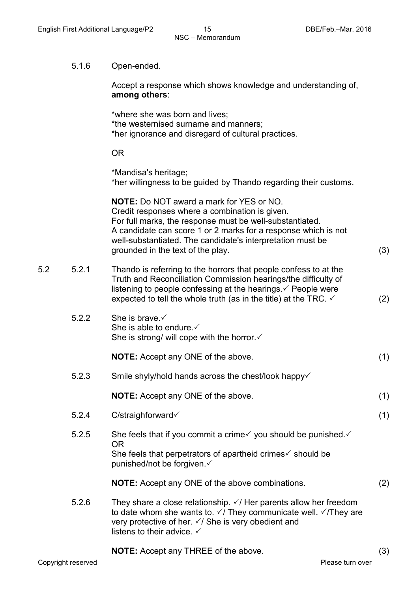#### 5.1.6 Open-ended.

Accept a response which shows knowledge and understanding of, **among others**:

\*where she was born and lives; \*the westernised surname and manners; \*her ignorance and disregard of cultural practices.

#### OR

\*Mandisa's heritage; \*her willingness to be guided by Thando regarding their customs.

**NOTE:** Do NOT award a mark for YES or NO. Credit responses where a combination is given. For full marks, the response must be well-substantiated. A candidate can score 1 or 2 marks for a response which is not well-substantiated. The candidate's interpretation must be grounded in the text of the play. (3)

- 5.2 5.2.1 Thando is referring to the horrors that people confess to at the Truth and Reconciliation Commission hearings/the difficulty of listening to people confessing at the hearings.  $\checkmark$  People were expected to tell the whole truth (as in the title) at the TRC.  $\checkmark$  (2)
	- $5.2.2$  She is brave  $\checkmark$ She is able to endure.  $\checkmark$ She is strong/ will cope with the horror. $\checkmark$

| <b>NOTE:</b> Accept any ONE of the above. |
|-------------------------------------------|
|-------------------------------------------|

5.2.3 Smile shyly/hold hands across the chest/look happy

**NOTE:** Accept any ONE of the above. (1)

5.2.4 C/straighforward (1) 5.2.5 She feels that if you commit a crime  $\checkmark$  you should be punished.  $\checkmark$ 

OR She feels that perpetrators of apartheid crimes  $\checkmark$  should be punished/not be forgiven.

- **NOTE:** Accept any ONE of the above combinations. (2)
- 5.2.6 They share a close relationship.  $\sqrt{ }$  Her parents allow her freedom to date whom she wants to.  $\sqrt{I}$  They communicate well.  $\sqrt{I}$  They are very protective of her.  $\sqrt{ }$  She is very obedient and listens to their advice.  $\checkmark$

**NOTE:** Accept any THREE of the above. (3)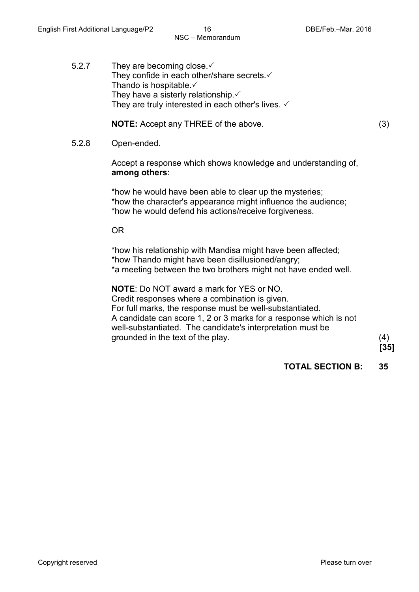5.2.7 They are becoming close. They confide in each other/share secrets. $\checkmark$ Thando is hospitable. $\checkmark$ They have a sisterly relationship. $\checkmark$ They are truly interested in each other's lives.  $\checkmark$ 

**NOTE:** Accept any THREE of the above. (3)

5.2.8 Open-ended.

Accept a response which shows knowledge and understanding of, **among others**:

\*how he would have been able to clear up the mysteries; \*how the character's appearance might influence the audience; \*how he would defend his actions/receive forgiveness.

OR

\*how his relationship with Mandisa might have been affected; \*how Thando might have been disillusioned/angry; \*a meeting between the two brothers might not have ended well.

**NOTE**: Do NOT award a mark for YES or NO. Credit responses where a combination is given. For full marks, the response must be well-substantiated. A candidate can score 1, 2 or 3 marks for a response which is not well-substantiated. The candidate's interpretation must be grounded in the text of the play. (4)

**[35]**

**TOTAL SECTION B: 35**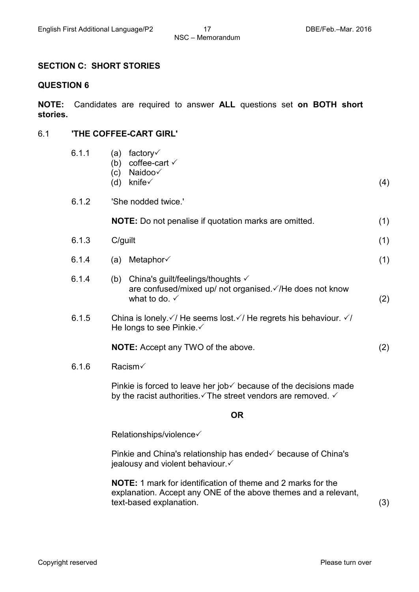#### **SECTION C: SHORT STORIES**

#### **QUESTION 6**

**NOTE:** Candidates are required to answer **ALL** questions set **on BOTH short stories.**

#### 6.1 **'THE COFFEE-CART GIRL'**

| 6.1.1 | factory√<br>(a)<br>coffee-cart √<br>(b)<br>Naidoo√<br>(c)<br>knife√<br>(d)                                                                              | (4) |
|-------|---------------------------------------------------------------------------------------------------------------------------------------------------------|-----|
| 6.1.2 | 'She nodded twice.'                                                                                                                                     |     |
|       | <b>NOTE:</b> Do not penalise if quotation marks are omitted.                                                                                            | (1) |
| 6.1.3 | C/guilt                                                                                                                                                 | (1) |
| 6.1.4 | Metaphor√<br>(a)                                                                                                                                        | (1) |
| 6.1.4 | China's guilt/feelings/thoughts √<br>(b)<br>are confused/mixed up/ not organised √/He does not know<br>what to do. $\checkmark$                         | (2) |
| 6.1.5 | China is lonely. $\sqrt{7}$ He seems lost. $\sqrt{7}$ He regrets his behaviour. $\sqrt{7}$<br>He longs to see Pinkie. ✓                                 |     |
|       | <b>NOTE:</b> Accept any TWO of the above.                                                                                                               | (2) |
| 6.1.6 | Racism√                                                                                                                                                 |     |
|       | Pinkie is forced to leave her job $\checkmark$ because of the decisions made<br>by the racist authorities. The street vendors are removed. $\checkmark$ |     |
|       | <b>OR</b>                                                                                                                                               |     |
|       | Relationships/violence                                                                                                                                  |     |
|       |                                                                                                                                                         |     |

Pinkie and China's relationship has ended  $\checkmark$  because of China's jealousy and violent behaviour.

**NOTE:** 1 mark for identification of theme and 2 marks for the explanation. Accept any ONE of the above themes and a relevant, text-based explanation. (3)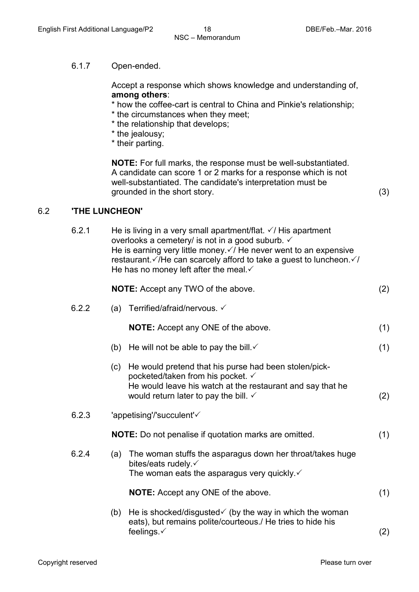#### 6.1.7 Open-ended.

Accept a response which shows knowledge and understanding of, **among others**:

- \* how the coffee-cart is central to China and Pinkie's relationship;
- \* the circumstances when they meet;
- \* the relationship that develops;
- \* the jealousy;
- \* their parting.

**NOTE:** For full marks, the response must be well-substantiated. A candidate can score 1 or 2 marks for a response which is not well-substantiated. The candidate's interpretation must be grounded in the short story. (3)

#### 6.2 **'THE LUNCHEON'**

6.2.1 He is living in a very small apartment/flat.  $\sqrt{ }$  His apartment overlooks a cemetery/ is not in a good suburb. He is earning very little money.  $\sqrt{I}$  He never went to an expensive restaurant.  $\sqrt{AB}$  can scarcely afford to take a guest to luncheon.  $\sqrt{AB}$ He has no money left after the meal. $\checkmark$ 

|       |     | <b>NOTE:</b> Accept any TWO of the above.                                                                                                                                                                    | (2) |
|-------|-----|--------------------------------------------------------------------------------------------------------------------------------------------------------------------------------------------------------------|-----|
| 6.2.2 | (a) | Terrified/afraid/nervous. ✓                                                                                                                                                                                  |     |
|       |     | <b>NOTE:</b> Accept any ONE of the above.                                                                                                                                                                    | (1) |
|       | (b) | He will not be able to pay the bill. $\checkmark$                                                                                                                                                            | (1) |
|       | (c) | He would pretend that his purse had been stolen/pick-<br>pocketed/taken from his pocket. ✓<br>He would leave his watch at the restaurant and say that he<br>would return later to pay the bill. $\checkmark$ | (2) |
| 6.2.3 |     | 'appetising'/'succulent' $\checkmark$                                                                                                                                                                        |     |
|       |     | NOTE: Do not penalise if quotation marks are omitted.                                                                                                                                                        | (1) |
| 6.2.4 | (a) | The woman stuffs the asparagus down her throat/takes huge<br>bites/eats rudely. $\checkmark$<br>The woman eats the asparagus very quickly. $\checkmark$                                                      |     |
|       |     | <b>NOTE:</b> Accept any ONE of the above.                                                                                                                                                                    | (1) |
|       | (b) | He is shocked/disgusted $\checkmark$ (by the way in which the woman<br>eats), but remains polite/courteous./ He tries to hide his                                                                            |     |

feelings.  $\check{\hspace{1cm}}$  (2)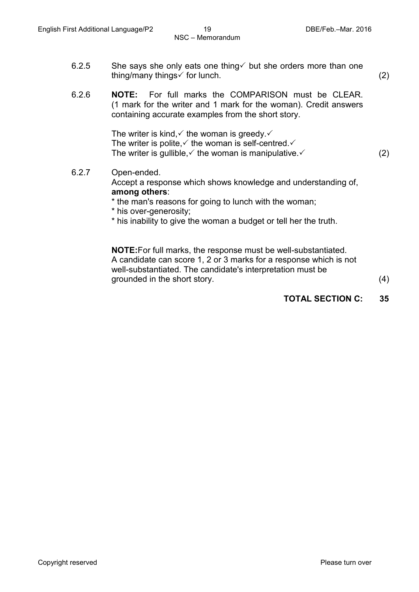- 6.2.5 She says she only eats one thing  $\checkmark$  but she orders more than one thing/many things  $\checkmark$  for lunch. (2)
- 6.2.6 **NOTE:** For full marks the COMPARISON must be CLEAR. (1 mark for the writer and 1 mark for the woman). Credit answers containing accurate examples from the short story.

The writer is kind,  $\checkmark$  the woman is greedy.  $\checkmark$ The writer is polite.  $\checkmark$  the woman is self-centred.  $\checkmark$ The writer is gullible,  $\checkmark$  the woman is manipulative.  $\checkmark$  (2)

6.2.7 Open-ended. Accept a response which shows knowledge and understanding of, **among others**:

\* the man's reasons for going to lunch with the woman;

- \* his over-generosity;
- \* his inability to give the woman a budget or tell her the truth.

**NOTE:**For full marks, the response must be well-substantiated. A candidate can score 1, 2 or 3 marks for a response which is not well-substantiated. The candidate's interpretation must be grounded in the short story. (4)

#### **TOTAL SECTION C: 35**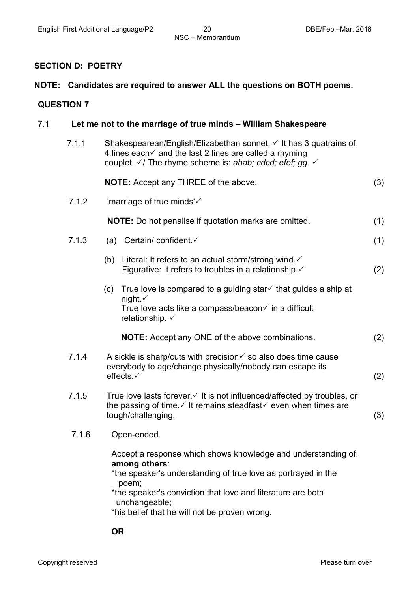#### **SECTION D: POETRY**

### **NOTE: Candidates are required to answer ALL the questions on BOTH poems.**

#### **QUESTION 7**

| 7.1   | Let me not to the marriage of true minds – William Shakespeare                                                                                                                                                                                                                            |     |  |  |  |
|-------|-------------------------------------------------------------------------------------------------------------------------------------------------------------------------------------------------------------------------------------------------------------------------------------------|-----|--|--|--|
| 7.1.1 | Shakespearean/English/Elizabethan sonnet. √ It has 3 quatrains of<br>4 lines each $\checkmark$ and the last 2 lines are called a rhyming<br>couplet. $\sqrt{7}$ The rhyme scheme is: abab; cdcd; efef; gg. $\sqrt{7}$                                                                     |     |  |  |  |
|       | <b>NOTE:</b> Accept any THREE of the above.                                                                                                                                                                                                                                               | (3) |  |  |  |
| 7.1.2 | 'marriage of true minds'√                                                                                                                                                                                                                                                                 |     |  |  |  |
|       | NOTE: Do not penalise if quotation marks are omitted.                                                                                                                                                                                                                                     | (1) |  |  |  |
| 7.1.3 | Certain/ confident √<br>(a)                                                                                                                                                                                                                                                               | (1) |  |  |  |
|       | Literal: It refers to an actual storm/strong wind. ✓<br>(b)<br>Figurative: It refers to troubles in a relationship. ✓                                                                                                                                                                     | (2) |  |  |  |
|       | True love is compared to a guiding star $\checkmark$ that guides a ship at<br>(c)<br>night $\checkmark$<br>True love acts like a compass/beacon√ in a difficult<br>relationship. $\checkmark$                                                                                             |     |  |  |  |
|       | <b>NOTE:</b> Accept any ONE of the above combinations.                                                                                                                                                                                                                                    | (2) |  |  |  |
| 7.1.4 | A sickle is sharp/cuts with precision $\checkmark$ so also does time cause<br>everybody to age/change physically/nobody can escape its<br>effects.√                                                                                                                                       | (2) |  |  |  |
| 7.1.5 | True love lasts forever. $\checkmark$ It is not influenced/affected by troubles, or<br>the passing of time $\checkmark$ It remains steadfast $\checkmark$ even when times are<br>tough/challenging.                                                                                       | (3) |  |  |  |
| 7.1.6 | Open-ended.                                                                                                                                                                                                                                                                               |     |  |  |  |
|       | Accept a response which shows knowledge and understanding of,<br>among others:<br>*the speaker's understanding of true love as portrayed in the<br>poem;<br>*the speaker's conviction that love and literature are both<br>unchangeable;<br>*his belief that he will not be proven wrong. |     |  |  |  |

**OR**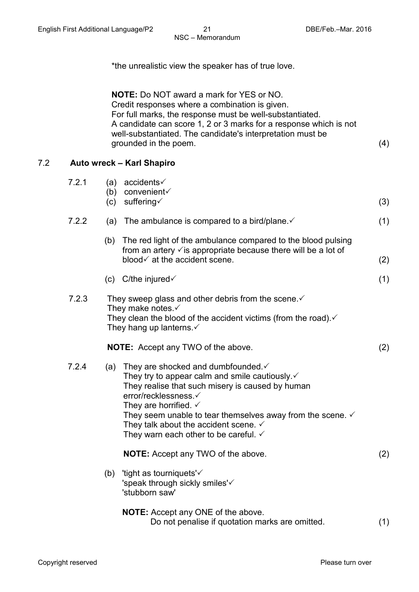\*the unrealistic view the speaker has of true love.

**NOTE:** Do NOT award a mark for YES or NO. Credit responses where a combination is given. For full marks, the response must be well-substantiated. A candidate can score 1, 2 or 3 marks for a response which is not well-substantiated. The candidate's interpretation must be grounded in the poem. (4)

#### 7.2 **Auto wreck – Karl Shapiro**

| 7.2.1 | (c) | (a) accidents $\checkmark$<br>(b) convenient $\checkmark$<br>suffering√                                                                                                                                                                                                                                                                                                               | (3) |
|-------|-----|---------------------------------------------------------------------------------------------------------------------------------------------------------------------------------------------------------------------------------------------------------------------------------------------------------------------------------------------------------------------------------------|-----|
| 7.2.2 | (a) | The ambulance is compared to a bird/plane $\checkmark$                                                                                                                                                                                                                                                                                                                                | (1) |
|       |     | (b) The red light of the ambulance compared to the blood pulsing<br>from an artery $\checkmark$ is appropriate because there will be a lot of<br>blood $\checkmark$ at the accident scene.                                                                                                                                                                                            | (2) |
|       | (c) | C/the injured $\checkmark$                                                                                                                                                                                                                                                                                                                                                            | (1) |
| 7.2.3 |     | They sweep glass and other debris from the scene. $\checkmark$<br>They make notes. $\checkmark$<br>They clean the blood of the accident victims (from the road). $\checkmark$<br>They hang up lanterns. $\checkmark$                                                                                                                                                                  |     |
|       |     | <b>NOTE:</b> Accept any TWO of the above.                                                                                                                                                                                                                                                                                                                                             | (2) |
| 7.2.4 | (a) | They are shocked and dumbfounded. ✓<br>They try to appear calm and smile cautiously.<br>They realise that such misery is caused by human<br>error/recklessness.√<br>They are horrified. $\checkmark$<br>They seem unable to tear themselves away from the scene. $\checkmark$<br>They talk about the accident scene. $\checkmark$<br>They warn each other to be careful. $\checkmark$ |     |
|       |     | <b>NOTE:</b> Accept any TWO of the above.                                                                                                                                                                                                                                                                                                                                             | (2) |
|       | (b) | 'tight as tourniquets'√<br>'speak through sickly smiles'<br>'stubborn saw'                                                                                                                                                                                                                                                                                                            |     |
|       |     | <b>NOTE:</b> Accept any ONE of the above.<br>Do not penalise if quotation marks are omitted.                                                                                                                                                                                                                                                                                          | (1) |